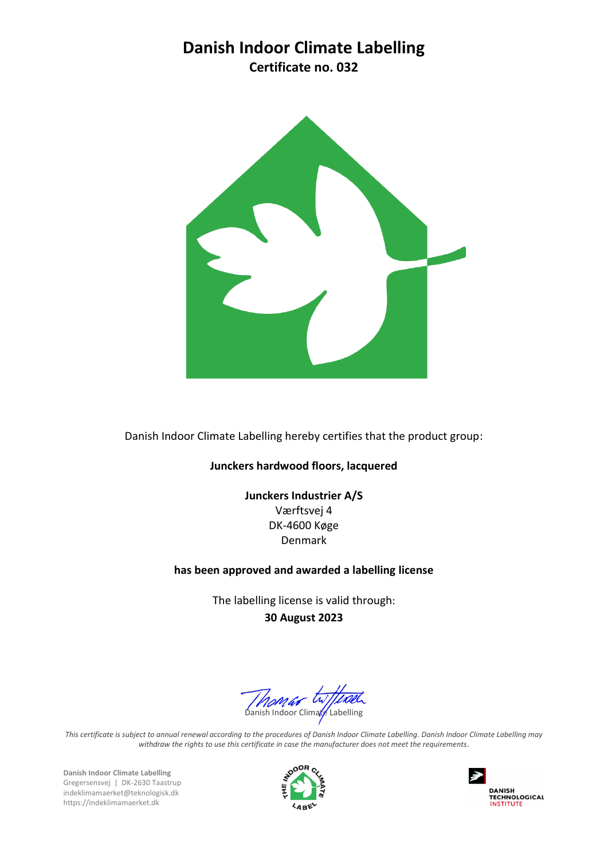## **Danish Indoor Climate Labelling**

**Certificate no. 032**



Danish Indoor Climate Labelling hereby certifies that the product group:

## **Junckers hardwood floors, lacquered**

**Junckers Industrier A/S** Værftsvej 4 DK-4600 Køge Denmark

## **has been approved and awarded a labelling license**

The labelling license is valid through: **30 August 2023**

Monder Willcom

*This certificate is subject to annual renewal according to the procedures of Danish Indoor Climate Labelling. Danish Indoor Climate Labelling may withdraw the rights to use this certificate in case the manufacturer does not meet the requirements*.

**Danish Indoor Climate Labelling** Gregersensvej | DK-2630 Taastrup indeklimamaerket@teknologisk.dk https://indeklimamaerket.dk